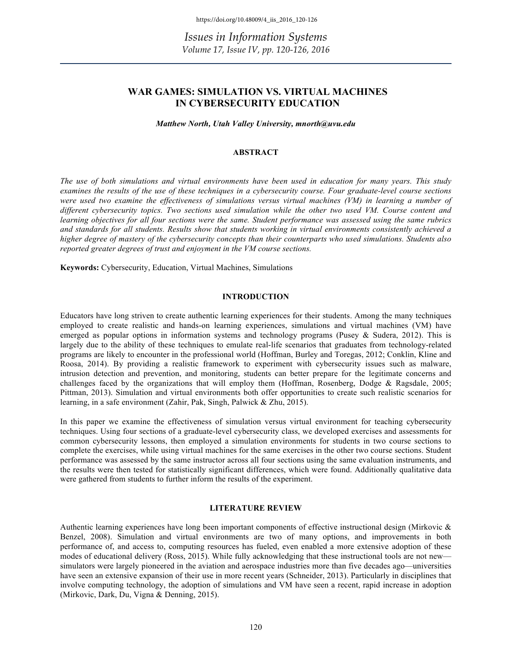# **WAR GAMES: SIMULATION VS. VIRTUAL MACHINES IN CYBERSECURITY EDUCATION**

*Matthew North, Utah Valley University, mnorth@uvu.edu*

# **ABSTRACT**

*The use of both simulations and virtual environments have been used in education for many years. This study examines the results of the use of these techniques in a cybersecurity course. Four graduate-level course sections were used two examine the effectiveness of simulations versus virtual machines (VM) in learning a number of different cybersecurity topics. Two sections used simulation while the other two used VM. Course content and learning objectives for all four sections were the same. Student performance was assessed using the same rubrics and standards for all students. Results show that students working in virtual environments consistently achieved a higher degree of mastery of the cybersecurity concepts than their counterparts who used simulations. Students also reported greater degrees of trust and enjoyment in the VM course sections.* 

**Keywords:** Cybersecurity, Education, Virtual Machines, Simulations

# **INTRODUCTION**

Educators have long striven to create authentic learning experiences for their students. Among the many techniques employed to create realistic and hands-on learning experiences, simulations and virtual machines (VM) have emerged as popular options in information systems and technology programs (Pusey & Sudera, 2012). This is largely due to the ability of these techniques to emulate real-life scenarios that graduates from technology-related programs are likely to encounter in the professional world (Hoffman, Burley and Toregas, 2012; Conklin, Kline and Roosa, 2014). By providing a realistic framework to experiment with cybersecurity issues such as malware, intrusion detection and prevention, and monitoring, students can better prepare for the legitimate concerns and challenges faced by the organizations that will employ them (Hoffman, Rosenberg, Dodge & Ragsdale, 2005; Pittman, 2013). Simulation and virtual environments both offer opportunities to create such realistic scenarios for learning, in a safe environment (Zahir, Pak, Singh, Palwick & Zhu, 2015).

In this paper we examine the effectiveness of simulation versus virtual environment for teaching cybersecurity techniques. Using four sections of a graduate-level cybersecurity class, we developed exercises and assessments for common cybersecurity lessons, then employed a simulation environments for students in two course sections to complete the exercises, while using virtual machines for the same exercises in the other two course sections. Student performance was assessed by the same instructor across all four sections using the same evaluation instruments, and the results were then tested for statistically significant differences, which were found. Additionally qualitative data were gathered from students to further inform the results of the experiment.

#### **LITERATURE REVIEW**

Authentic learning experiences have long been important components of effective instructional design (Mirkovic & Benzel, 2008). Simulation and virtual environments are two of many options, and improvements in both performance of, and access to, computing resources has fueled, even enabled a more extensive adoption of these modes of educational delivery (Ross, 2015). While fully acknowledging that these instructional tools are not new simulators were largely pioneered in the aviation and aerospace industries more than five decades ago—universities have seen an extensive expansion of their use in more recent years (Schneider, 2013). Particularly in disciplines that involve computing technology, the adoption of simulations and VM have seen a recent, rapid increase in adoption (Mirkovic, Dark, Du, Vigna & Denning, 2015).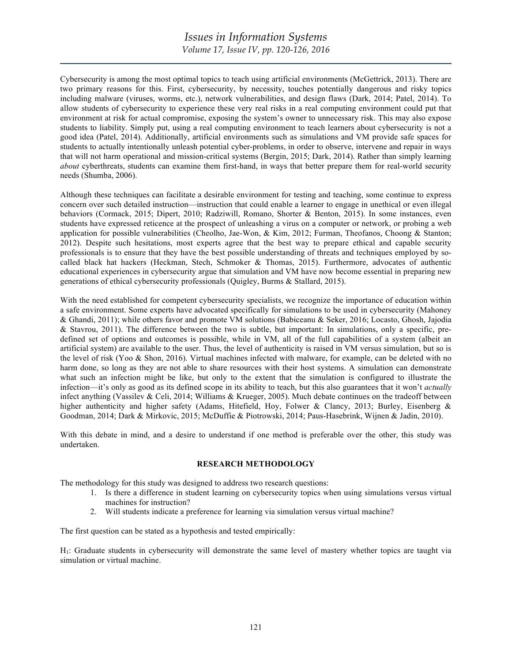Cybersecurity is among the most optimal topics to teach using artificial environments (McGettrick, 2013). There are two primary reasons for this. First, cybersecurity, by necessity, touches potentially dangerous and risky topics including malware (viruses, worms, etc.), network vulnerabilities, and design flaws (Dark, 2014; Patel, 2014). To allow students of cybersecurity to experience these very real risks in a real computing environment could put that environment at risk for actual compromise, exposing the system's owner to unnecessary risk. This may also expose students to liability. Simply put, using a real computing environment to teach learners about cybersecurity is not a good idea (Patel, 2014). Additionally, artificial environments such as simulations and VM provide safe spaces for students to actually intentionally unleash potential cyber-problems, in order to observe, intervene and repair in ways that will not harm operational and mission-critical systems (Bergin, 2015; Dark, 2014). Rather than simply learning *about* cyberthreats, students can examine them first-hand, in ways that better prepare them for real-world security needs (Shumba, 2006).

Although these techniques can facilitate a desirable environment for testing and teaching, some continue to express concern over such detailed instruction—instruction that could enable a learner to engage in unethical or even illegal behaviors (Cormack, 2015; Dipert, 2010; Radziwill, Romano, Shorter & Benton, 2015). In some instances, even students have expressed reticence at the prospect of unleashing a virus on a computer or network, or probing a web application for possible vulnerabilities (Cheolho, Jae-Won, & Kim, 2012; Furman, Theofanos, Choong & Stanton; 2012). Despite such hesitations, most experts agree that the best way to prepare ethical and capable security professionals is to ensure that they have the best possible understanding of threats and techniques employed by socalled black hat hackers (Heckman, Stech, Schmoker & Thomas, 2015). Furthermore, advocates of authentic educational experiences in cybersecurity argue that simulation and VM have now become essential in preparing new generations of ethical cybersecurity professionals (Quigley, Burms & Stallard, 2015).

With the need established for competent cybersecurity specialists, we recognize the importance of education within a safe environment. Some experts have advocated specifically for simulations to be used in cybersecurity (Mahoney & Ghandi, 2011); while others favor and promote VM solutions (Babiceanu & Seker, 2016; Locasto, Ghosh, Jajodia & Stavrou, 2011). The difference between the two is subtle, but important: In simulations, only a specific, predefined set of options and outcomes is possible, while in VM, all of the full capabilities of a system (albeit an artificial system) are available to the user. Thus, the level of authenticity is raised in VM versus simulation, but so is the level of risk (Yoo & Shon, 2016). Virtual machines infected with malware, for example, can be deleted with no harm done, so long as they are not able to share resources with their host systems. A simulation can demonstrate what such an infection might be like, but only to the extent that the simulation is configured to illustrate the infection—it's only as good as its defined scope in its ability to teach, but this also guarantees that it won't *actually* infect anything (Vassilev & Celi, 2014; Williams & Krueger, 2005). Much debate continues on the tradeoff between higher authenticity and higher safety (Adams, Hitefield, Hoy, Folwer & Clancy, 2013; Burley, Eisenberg & Goodman, 2014; Dark & Mirkovic, 2015; McDuffie & Piotrowski, 2014; Paus-Hasebrink, Wijnen & Jadin, 2010).

With this debate in mind, and a desire to understand if one method is preferable over the other, this study was undertaken.

# **RESEARCH METHODOLOGY**

The methodology for this study was designed to address two research questions:

- 1. Is there a difference in student learning on cybersecurity topics when using simulations versus virtual machines for instruction?
- 2. Will students indicate a preference for learning via simulation versus virtual machine?

The first question can be stated as a hypothesis and tested empirically:

H1: Graduate students in cybersecurity will demonstrate the same level of mastery whether topics are taught via simulation or virtual machine.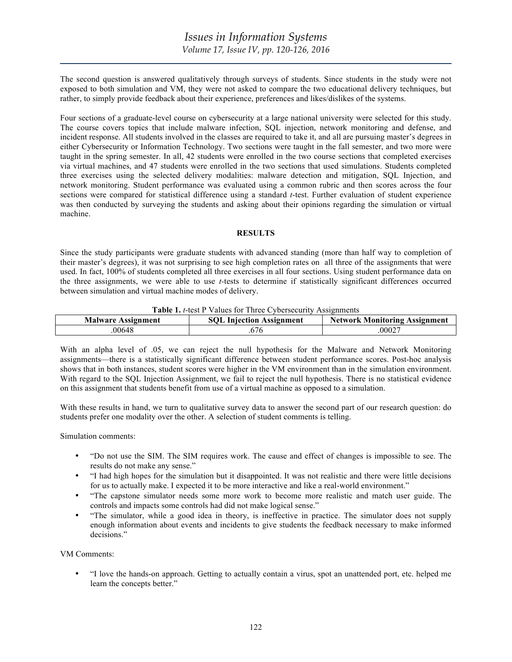The second question is answered qualitatively through surveys of students. Since students in the study were not exposed to both simulation and VM, they were not asked to compare the two educational delivery techniques, but rather, to simply provide feedback about their experience, preferences and likes/dislikes of the systems.

Four sections of a graduate-level course on cybersecurity at a large national university were selected for this study. The course covers topics that include malware infection, SQL injection, network monitoring and defense, and incident response. All students involved in the classes are required to take it, and all are pursuing master's degrees in either Cybersecurity or Information Technology. Two sections were taught in the fall semester, and two more were taught in the spring semester. In all, 42 students were enrolled in the two course sections that completed exercises via virtual machines, and 47 students were enrolled in the two sections that used simulations. Students completed three exercises using the selected delivery modalities: malware detection and mitigation, SQL Injection, and network monitoring. Student performance was evaluated using a common rubric and then scores across the four sections were compared for statistical difference using a standard *t*-test. Further evaluation of student experience was then conducted by surveying the students and asking about their opinions regarding the simulation or virtual machine.

# **RESULTS**

Since the study participants were graduate students with advanced standing (more than half way to completion of their master's degrees), it was not surprising to see high completion rates on all three of the assignments that were used. In fact, 100% of students completed all three exercises in all four sections. Using student performance data on the three assignments, we were able to use *t-*tests to determine if statistically significant differences occurred between simulation and virtual machine modes of delivery.

**Table 1.** *t*-test P Values for Three Cybersecurity Assignments

| <b>Malware Assignment</b> | <b>SOL Injection Assignment</b> | <b>Network Monitoring Assignment</b> |
|---------------------------|---------------------------------|--------------------------------------|
| 00648                     | 0/0                             | .00027                               |

With an alpha level of .05, we can reject the null hypothesis for the Malware and Network Monitoring assignments—there is a statistically significant difference between student performance scores. Post-hoc analysis shows that in both instances, student scores were higher in the VM environment than in the simulation environment. With regard to the SQL Injection Assignment, we fail to reject the null hypothesis. There is no statistical evidence on this assignment that students benefit from use of a virtual machine as opposed to a simulation.

With these results in hand, we turn to qualitative survey data to answer the second part of our research question: do students prefer one modality over the other. A selection of student comments is telling.

Simulation comments:

- "Do not use the SIM. The SIM requires work. The cause and effect of changes is impossible to see. The results do not make any sense."
- "I had high hopes for the simulation but it disappointed. It was not realistic and there were little decisions for us to actually make. I expected it to be more interactive and like a real-world environment."
- "The capstone simulator needs some more work to become more realistic and match user guide. The controls and impacts some controls had did not make logical sense."
- "The simulator, while a good idea in theory, is ineffective in practice. The simulator does not supply enough information about events and incidents to give students the feedback necessary to make informed decisions."

VM Comments:

• "I love the hands-on approach. Getting to actually contain a virus, spot an unattended port, etc. helped me learn the concepts better."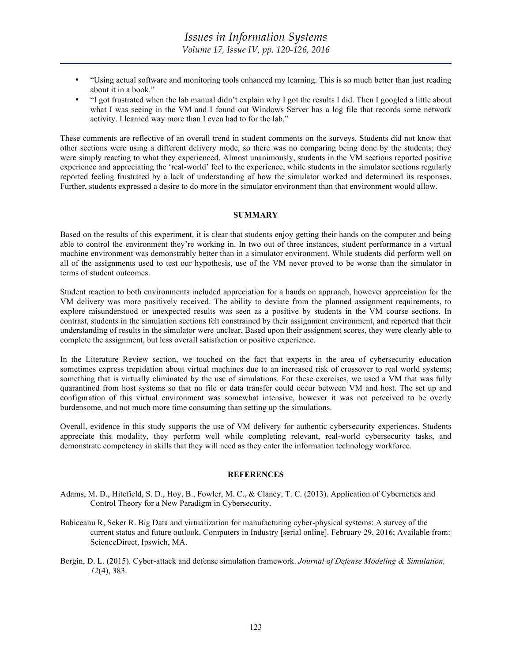- "Using actual software and monitoring tools enhanced my learning. This is so much better than just reading about it in a book."
- "I got frustrated when the lab manual didn't explain why I got the results I did. Then I googled a little about what I was seeing in the VM and I found out Windows Server has a log file that records some network activity. I learned way more than I even had to for the lab."

These comments are reflective of an overall trend in student comments on the surveys. Students did not know that other sections were using a different delivery mode, so there was no comparing being done by the students; they were simply reacting to what they experienced. Almost unanimously, students in the VM sections reported positive experience and appreciating the 'real-world' feel to the experience, while students in the simulator sections regularly reported feeling frustrated by a lack of understanding of how the simulator worked and determined its responses. Further, students expressed a desire to do more in the simulator environment than that environment would allow.

### **SUMMARY**

Based on the results of this experiment, it is clear that students enjoy getting their hands on the computer and being able to control the environment they're working in. In two out of three instances, student performance in a virtual machine environment was demonstrably better than in a simulator environment. While students did perform well on all of the assignments used to test our hypothesis, use of the VM never proved to be worse than the simulator in terms of student outcomes.

Student reaction to both environments included appreciation for a hands on approach, however appreciation for the VM delivery was more positively received. The ability to deviate from the planned assignment requirements, to explore misunderstood or unexpected results was seen as a positive by students in the VM course sections. In contrast, students in the simulation sections felt constrained by their assignment environment, and reported that their understanding of results in the simulator were unclear. Based upon their assignment scores, they were clearly able to complete the assignment, but less overall satisfaction or positive experience.

In the Literature Review section, we touched on the fact that experts in the area of cybersecurity education sometimes express trepidation about virtual machines due to an increased risk of crossover to real world systems; something that is virtually eliminated by the use of simulations. For these exercises, we used a VM that was fully quarantined from host systems so that no file or data transfer could occur between VM and host. The set up and configuration of this virtual environment was somewhat intensive, however it was not perceived to be overly burdensome, and not much more time consuming than setting up the simulations.

Overall, evidence in this study supports the use of VM delivery for authentic cybersecurity experiences. Students appreciate this modality, they perform well while completing relevant, real-world cybersecurity tasks, and demonstrate competency in skills that they will need as they enter the information technology workforce.

### **REFERENCES**

- Adams, M. D., Hitefield, S. D., Hoy, B., Fowler, M. C., & Clancy, T. C. (2013). Application of Cybernetics and Control Theory for a New Paradigm in Cybersecurity.
- Babiceanu R, Seker R. Big Data and virtualization for manufacturing cyber-physical systems: A survey of the current status and future outlook. Computers in Industry [serial online]. February 29, 2016; Available from: ScienceDirect, Ipswich, MA.
- Bergin, D. L. (2015). Cyber-attack and defense simulation framework. *Journal of Defense Modeling & Simulation, 12*(4), 383.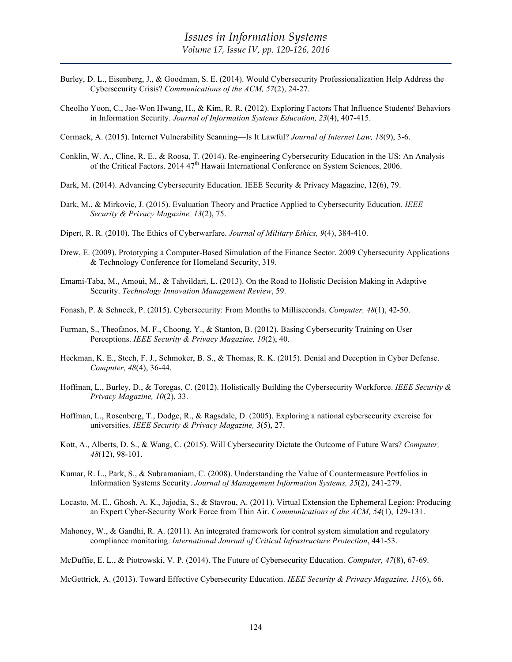- Burley, D. L., Eisenberg, J., & Goodman, S. E. (2014). Would Cybersecurity Professionalization Help Address the Cybersecurity Crisis? *Communications of the ACM, 57*(2), 24-27.
- Cheolho Yoon, C., Jae-Won Hwang, H., & Kim, R. R. (2012). Exploring Factors That Influence Students' Behaviors in Information Security. *Journal of Information Systems Education, 23*(4), 407-415.

Cormack, A. (2015). Internet Vulnerability Scanning—Is It Lawful? *Journal of Internet Law, 18*(9), 3-6.

- Conklin, W. A., Cline, R. E., & Roosa, T. (2014). Re-engineering Cybersecurity Education in the US: An Analysis of the Critical Factors. 2014 47<sup>th</sup> Hawaii International Conference on System Sciences, 2006.
- Dark, M. (2014). Advancing Cybersecurity Education. IEEE Security & Privacy Magazine, 12(6), 79.
- Dark, M., & Mirkovic, J. (2015). Evaluation Theory and Practice Applied to Cybersecurity Education. *IEEE Security & Privacy Magazine, 13*(2), 75.
- Dipert, R. R. (2010). The Ethics of Cyberwarfare. *Journal of Military Ethics, 9*(4), 384-410.
- Drew, E. (2009). Prototyping a Computer-Based Simulation of the Finance Sector. 2009 Cybersecurity Applications & Technology Conference for Homeland Security, 319.
- Emami-Taba, M., Amoui, M., & Tahvildari, L. (2013). On the Road to Holistic Decision Making in Adaptive Security. *Technology Innovation Management Review*, 59.
- Fonash, P. & Schneck, P. (2015). Cybersecurity: From Months to Milliseconds. *Computer, 48*(1), 42-50.
- Furman, S., Theofanos, M. F., Choong, Y., & Stanton, B. (2012). Basing Cybersecurity Training on User Perceptions. *IEEE Security & Privacy Magazine, 10*(2), 40.
- Heckman, K. E., Stech, F. J., Schmoker, B. S., & Thomas, R. K. (2015). Denial and Deception in Cyber Defense. *Computer, 48*(4), 36-44.
- Hoffman, L., Burley, D., & Toregas, C. (2012). Holistically Building the Cybersecurity Workforce. *IEEE Security & Privacy Magazine, 10*(2), 33.
- Hoffman, L., Rosenberg, T., Dodge, R., & Ragsdale, D. (2005). Exploring a national cybersecurity exercise for universities. *IEEE Security & Privacy Magazine, 3*(5), 27.
- Kott, A., Alberts, D. S., & Wang, C. (2015). Will Cybersecurity Dictate the Outcome of Future Wars? *Computer, 48*(12), 98-101.
- Kumar, R. L., Park, S., & Subramaniam, C. (2008). Understanding the Value of Countermeasure Portfolios in Information Systems Security. *Journal of Management Information Systems, 25*(2), 241-279.
- Locasto, M. E., Ghosh, A. K., Jajodia, S., & Stavrou, A. (2011). Virtual Extension the Ephemeral Legion: Producing an Expert Cyber-Security Work Force from Thin Air. *Communications of the ACM, 54*(1), 129-131.
- Mahoney, W., & Gandhi, R. A. (2011). An integrated framework for control system simulation and regulatory compliance monitoring. *International Journal of Critical Infrastructure Protection*, 441-53.

McDuffie, E. L., & Piotrowski, V. P. (2014). The Future of Cybersecurity Education. *Computer, 47*(8), 67-69.

McGettrick, A. (2013). Toward Effective Cybersecurity Education. *IEEE Security & Privacy Magazine, 11*(6), 66.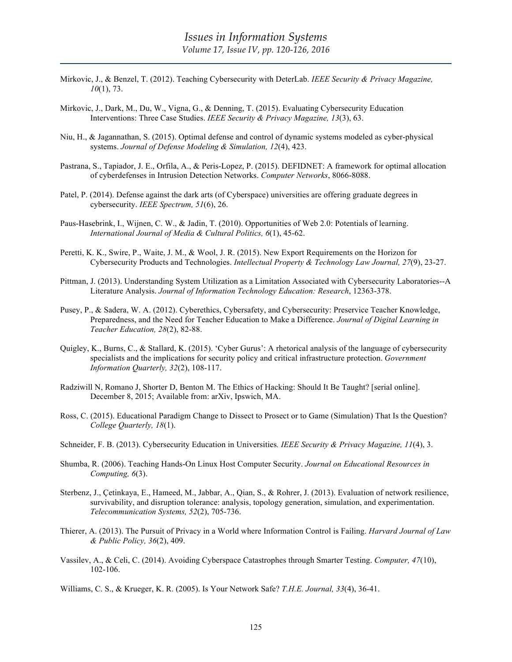- Mirkovic, J., & Benzel, T. (2012). Teaching Cybersecurity with DeterLab. *IEEE Security & Privacy Magazine, 10*(1), 73.
- Mirkovic, J., Dark, M., Du, W., Vigna, G., & Denning, T. (2015). Evaluating Cybersecurity Education Interventions: Three Case Studies. *IEEE Security & Privacy Magazine, 13*(3), 63.
- Niu, H., & Jagannathan, S. (2015). Optimal defense and control of dynamic systems modeled as cyber-physical systems. *Journal of Defense Modeling & Simulation, 12*(4), 423.
- Pastrana, S., Tapiador, J. E., Orfila, A., & Peris-Lopez, P. (2015). DEFIDNET: A framework for optimal allocation of cyberdefenses in Intrusion Detection Networks. *Computer Networks*, 8066-8088.
- Patel, P. (2014). Defense against the dark arts (of Cyberspace) universities are offering graduate degrees in cybersecurity. *IEEE Spectrum, 51*(6), 26.
- Paus-Hasebrink, I., Wijnen, C. W., & Jadin, T. (2010). Opportunities of Web 2.0: Potentials of learning. *International Journal of Media & Cultural Politics, 6*(1), 45-62.
- Peretti, K. K., Swire, P., Waite, J. M., & Wool, J. R. (2015). New Export Requirements on the Horizon for Cybersecurity Products and Technologies. *Intellectual Property & Technology Law Journal, 27*(9), 23-27.
- Pittman, J. (2013). Understanding System Utilization as a Limitation Associated with Cybersecurity Laboratories--A Literature Analysis. *Journal of Information Technology Education: Research*, 12363-378.
- Pusey, P., & Sadera, W. A. (2012). Cyberethics, Cybersafety, and Cybersecurity: Preservice Teacher Knowledge, Preparedness, and the Need for Teacher Education to Make a Difference. *Journal of Digital Learning in Teacher Education, 28*(2), 82-88.
- Quigley, K., Burns, C., & Stallard, K. (2015). 'Cyber Gurus': A rhetorical analysis of the language of cybersecurity specialists and the implications for security policy and critical infrastructure protection. *Government Information Quarterly, 32*(2), 108-117.
- Radziwill N, Romano J, Shorter D, Benton M. The Ethics of Hacking: Should It Be Taught? [serial online]. December 8, 2015; Available from: arXiv, Ipswich, MA.
- Ross, C. (2015). Educational Paradigm Change to Dissect to Prosect or to Game (Simulation) That Is the Question? *College Quarterly, 18*(1).
- Schneider, F. B. (2013). Cybersecurity Education in Universities*. IEEE Security & Privacy Magazine, 11*(4), 3.
- Shumba, R. (2006). Teaching Hands-On Linux Host Computer Security. *Journal on Educational Resources in Computing, 6*(3).
- Sterbenz, J., Çetinkaya, E., Hameed, M., Jabbar, A., Qian, S., & Rohrer, J. (2013). Evaluation of network resilience, survivability, and disruption tolerance: analysis, topology generation, simulation, and experimentation. *Telecommunication Systems, 52*(2), 705-736.
- Thierer, A. (2013). The Pursuit of Privacy in a World where Information Control is Failing. *Harvard Journal of Law & Public Policy, 36*(2), 409.
- Vassilev, A., & Celi, C. (2014). Avoiding Cyberspace Catastrophes through Smarter Testing. *Computer, 47*(10), 102-106.

Williams, C. S., & Krueger, K. R. (2005). Is Your Network Safe? *T.H.E. Journal, 33*(4), 36-41.